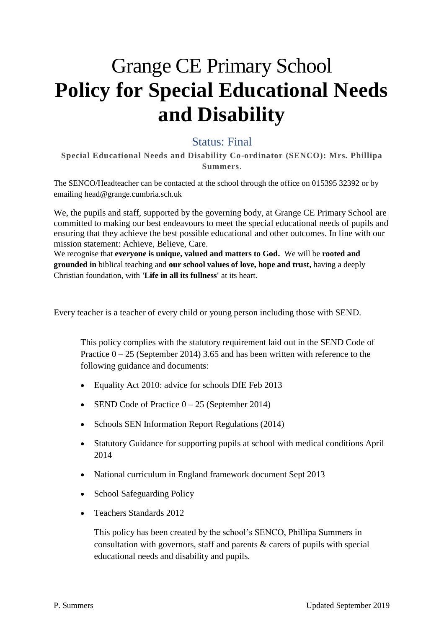# Grange CE Primary School **Policy for Special Educational Needs and Disability**

## Status: Final

**Special Educational Needs and Disability Co-ordinator (SENCO): Mrs. Phillipa Summers**.

The SENCO/Headteacher can be contacted at the school through the office on 015395 32392 or by emailing head@grange.cumbria.sch.uk

We, the pupils and staff, supported by the governing body, at Grange CE Primary School are committed to making our best endeavours to meet the special educational needs of pupils and ensuring that they achieve the best possible educational and other outcomes. In line with our mission statement: Achieve, Believe, Care.

We recognise that **everyone is unique, valued and matters to God.** We will be **rooted and grounded in** biblical teaching and **our school values of love, hope and trust,** having a deeply Christian foundation, with **'Life in all its fullness'** at its heart.

Every teacher is a teacher of every child or young person including those with SEND.

This policy complies with the statutory requirement laid out in the SEND Code of Practice  $0 - 25$  (September 2014) 3.65 and has been written with reference to the following guidance and documents:

- Equality Act 2010: advice for schools DfE Feb 2013
- SEND Code of Practice 0 25 (September 2014)
- Schools SEN Information Report Regulations (2014)
- Statutory Guidance for supporting pupils at school with medical conditions April 2014
- National curriculum in England framework document Sept 2013
- School Safeguarding Policy
- Teachers Standards 2012

This policy has been created by the school's SENCO, Phillipa Summers in consultation with governors, staff and parents & carers of pupils with special educational needs and disability and pupils.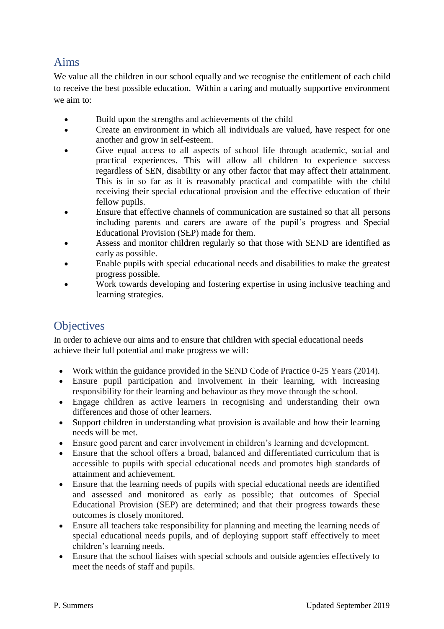# Aims

We value all the children in our school equally and we recognise the entitlement of each child to receive the best possible education. Within a caring and mutually supportive environment we aim to:

- Build upon the strengths and achievements of the child
- Create an environment in which all individuals are valued, have respect for one another and grow in self-esteem.
- Give equal access to all aspects of school life through academic, social and practical experiences. This will allow all children to experience success regardless of SEN, disability or any other factor that may affect their attainment. This is in so far as it is reasonably practical and compatible with the child receiving their special educational provision and the effective education of their fellow pupils.
- Ensure that effective channels of communication are sustained so that all persons including parents and carers are aware of the pupil's progress and Special Educational Provision (SEP) made for them.
- Assess and monitor children regularly so that those with SEND are identified as early as possible.
- Enable pupils with special educational needs and disabilities to make the greatest progress possible.
- Work towards developing and fostering expertise in using inclusive teaching and learning strategies.

# **Objectives**

In order to achieve our aims and to ensure that children with special educational needs achieve their full potential and make progress we will:

- Work within the guidance provided in the SEND Code of Practice 0-25 Years (2014).
- Ensure pupil participation and involvement in their learning, with increasing responsibility for their learning and behaviour as they move through the school.
- Engage children as active learners in recognising and understanding their own differences and those of other learners.
- Support children in understanding what provision is available and how their learning needs will be met.
- Ensure good parent and carer involvement in children's learning and development.
- Ensure that the school offers a broad, balanced and differentiated curriculum that is accessible to pupils with special educational needs and promotes high standards of attainment and achievement.
- Ensure that the learning needs of pupils with special educational needs are identified and assessed and monitored as early as possible; that outcomes of Special Educational Provision (SEP) are determined; and that their progress towards these outcomes is closely monitored.
- Ensure all teachers take responsibility for planning and meeting the learning needs of special educational needs pupils, and of deploying support staff effectively to meet children's learning needs.
- Ensure that the school liaises with special schools and outside agencies effectively to meet the needs of staff and pupils.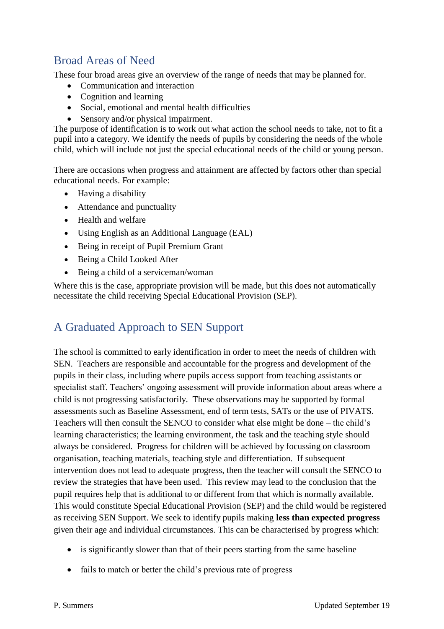# Broad Areas of Need

These four broad areas give an overview of the range of needs that may be planned for.

- Communication and interaction
- Cognition and learning
- Social, emotional and mental health difficulties
- Sensory and/or physical impairment.

The purpose of identification is to work out what action the school needs to take, not to fit a pupil into a category. We identify the needs of pupils by considering the needs of the whole child, which will include not just the special educational needs of the child or young person.

There are occasions when progress and attainment are affected by factors other than special educational needs. For example:

- Having a disability
- Attendance and punctuality
- Health and welfare
- Using English as an Additional Language (EAL)
- Being in receipt of Pupil Premium Grant
- Being a Child Looked After
- Being a child of a serviceman/woman

Where this is the case, appropriate provision will be made, but this does not automatically necessitate the child receiving Special Educational Provision (SEP).

# A Graduated Approach to SEN Support

The school is committed to early identification in order to meet the needs of children with SEN. Teachers are responsible and accountable for the progress and development of the pupils in their class, including where pupils access support from teaching assistants or specialist staff. Teachers' ongoing assessment will provide information about areas where a child is not progressing satisfactorily. These observations may be supported by formal assessments such as Baseline Assessment, end of term tests, SATs or the use of PIVATS. Teachers will then consult the SENCO to consider what else might be done – the child's learning characteristics; the learning environment, the task and the teaching style should always be considered. Progress for children will be achieved by focussing on classroom organisation, teaching materials, teaching style and differentiation. If subsequent intervention does not lead to adequate progress, then the teacher will consult the SENCO to review the strategies that have been used. This review may lead to the conclusion that the pupil requires help that is additional to or different from that which is normally available. This would constitute Special Educational Provision (SEP) and the child would be registered as receiving SEN Support. We seek to identify pupils making **less than expected progress** given their age and individual circumstances. This can be characterised by progress which:

- is significantly slower than that of their peers starting from the same baseline
- fails to match or better the child's previous rate of progress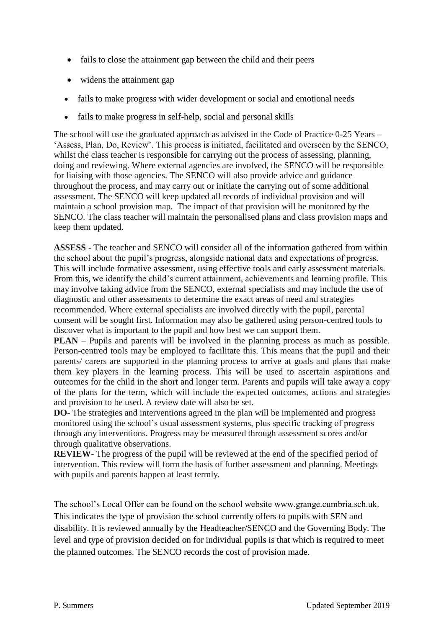- fails to close the attainment gap between the child and their peers
- widens the attainment gap
- fails to make progress with wider development or social and emotional needs
- fails to make progress in self-help, social and personal skills

The school will use the graduated approach as advised in the Code of Practice 0-25 Years – 'Assess, Plan, Do, Review'. This process is initiated, facilitated and overseen by the SENCO, whilst the class teacher is responsible for carrying out the process of assessing, planning, doing and reviewing. Where external agencies are involved, the SENCO will be responsible for liaising with those agencies. The SENCO will also provide advice and guidance throughout the process, and may carry out or initiate the carrying out of some additional assessment. The SENCO will keep updated all records of individual provision and will maintain a school provision map. The impact of that provision will be monitored by the SENCO. The class teacher will maintain the personalised plans and class provision maps and keep them updated.

**ASSESS** - The teacher and SENCO will consider all of the information gathered from within the school about the pupil's progress, alongside national data and expectations of progress. This will include formative assessment, using effective tools and early assessment materials. From this, we identify the child's current attainment, achievements and learning profile. This may involve taking advice from the SENCO, external specialists and may include the use of diagnostic and other assessments to determine the exact areas of need and strategies recommended. Where external specialists are involved directly with the pupil, parental consent will be sought first. Information may also be gathered using person-centred tools to discover what is important to the pupil and how best we can support them.

**PLAN** – Pupils and parents will be involved in the planning process as much as possible. Person-centred tools may be employed to facilitate this. This means that the pupil and their parents/ carers are supported in the planning process to arrive at goals and plans that make them key players in the learning process. This will be used to ascertain aspirations and outcomes for the child in the short and longer term. Parents and pupils will take away a copy of the plans for the term, which will include the expected outcomes, actions and strategies and provision to be used. A review date will also be set.

**DO**- The strategies and interventions agreed in the plan will be implemented and progress monitored using the school's usual assessment systems, plus specific tracking of progress through any interventions. Progress may be measured through assessment scores and/or through qualitative observations.

**REVIEW**- The progress of the pupil will be reviewed at the end of the specified period of intervention. This review will form the basis of further assessment and planning. Meetings with pupils and parents happen at least termly.

The school's Local Offer can be found on the school website www.grange.cumbria.sch.uk. This indicates the type of provision the school currently offers to pupils with SEN and disability. It is reviewed annually by the Headteacher/SENCO and the Governing Body. The level and type of provision decided on for individual pupils is that which is required to meet the planned outcomes. The SENCO records the cost of provision made.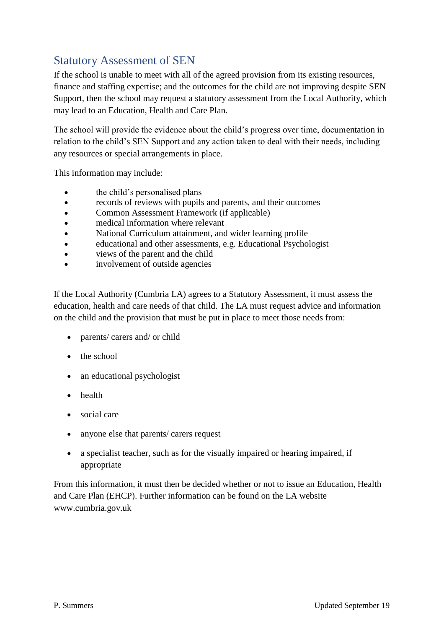# Statutory Assessment of SEN

If the school is unable to meet with all of the agreed provision from its existing resources, finance and staffing expertise; and the outcomes for the child are not improving despite SEN Support, then the school may request a statutory assessment from the Local Authority, which may lead to an Education, Health and Care Plan.

The school will provide the evidence about the child's progress over time, documentation in relation to the child's SEN Support and any action taken to deal with their needs, including any resources or special arrangements in place.

This information may include:

- the child's personalised plans
- records of reviews with pupils and parents, and their outcomes
- Common Assessment Framework (if applicable)
- medical information where relevant
- National Curriculum attainment, and wider learning profile
- educational and other assessments, e.g. Educational Psychologist
- views of the parent and the child
- involvement of outside agencies

If the Local Authority (Cumbria LA) agrees to a Statutory Assessment, it must assess the education, health and care needs of that child. The LA must request advice and information on the child and the provision that must be put in place to meet those needs from:

- parents/ carers and/ or child
- $\bullet$  the school
- an educational psychologist
- health
- social care
- anyone else that parents/ carers request
- a specialist teacher, such as for the visually impaired or hearing impaired, if appropriate

From this information, it must then be decided whether or not to issue an Education, Health and Care Plan (EHCP). Further information can be found on the LA website www.cumbria.gov.uk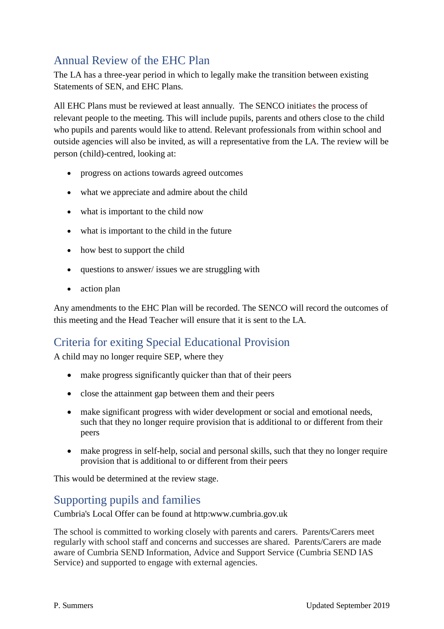# Annual Review of the EHC Plan

The LA has a three-year period in which to legally make the transition between existing Statements of SEN, and EHC Plans.

All EHC Plans must be reviewed at least annually. The SENCO initiates the process of relevant people to the meeting. This will include pupils, parents and others close to the child who pupils and parents would like to attend. Relevant professionals from within school and outside agencies will also be invited, as will a representative from the LA. The review will be person (child)-centred, looking at:

- progress on actions towards agreed outcomes
- what we appreciate and admire about the child
- what is important to the child now
- what is important to the child in the future
- how best to support the child
- questions to answer/ issues we are struggling with
- action plan

Any amendments to the EHC Plan will be recorded. The SENCO will record the outcomes of this meeting and the Head Teacher will ensure that it is sent to the LA.

# Criteria for exiting Special Educational Provision

A child may no longer require SEP, where they

- make progress significantly quicker than that of their peers
- close the attainment gap between them and their peers
- make significant progress with wider development or social and emotional needs, such that they no longer require provision that is additional to or different from their peers
- make progress in self-help, social and personal skills, such that they no longer require provision that is additional to or different from their peers

This would be determined at the review stage.

### Supporting pupils and families

Cumbria's Local Offer can be found at http:www.cumbria.gov.uk

The school is committed to working closely with parents and carers. Parents/Carers meet regularly with school staff and concerns and successes are shared. Parents/Carers are made aware of Cumbria SEND Information, Advice and Support Service (Cumbria SEND IAS Service) and supported to engage with external agencies.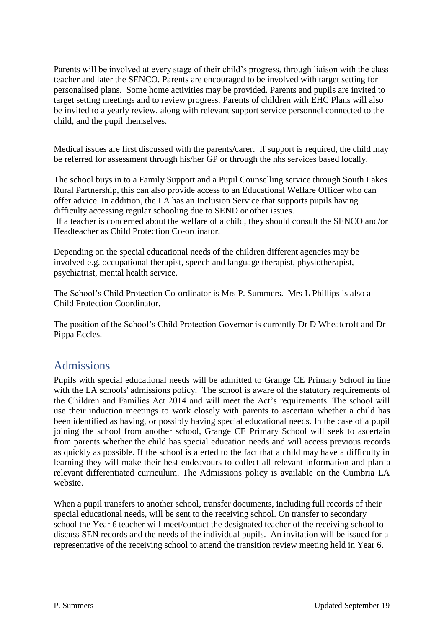Parents will be involved at every stage of their child's progress, through liaison with the class teacher and later the SENCO. Parents are encouraged to be involved with target setting for personalised plans. Some home activities may be provided. Parents and pupils are invited to target setting meetings and to review progress. Parents of children with EHC Plans will also be invited to a yearly review, along with relevant support service personnel connected to the child, and the pupil themselves.

Medical issues are first discussed with the parents/carer. If support is required, the child may be referred for assessment through his/her GP or through the nhs services based locally.

The school buys in to a Family Support and a Pupil Counselling service through South Lakes Rural Partnership, this can also provide access to an Educational Welfare Officer who can offer advice. In addition, the LA has an Inclusion Service that supports pupils having difficulty accessing regular schooling due to SEND or other issues. If a teacher is concerned about the welfare of a child, they should consult the SENCO and/or

Headteacher as Child Protection Co-ordinator.

Depending on the special educational needs of the children different agencies may be involved e.g. occupational therapist, speech and language therapist, physiotherapist, psychiatrist, mental health service.

The School's Child Protection Co-ordinator is Mrs P. Summers. Mrs L Phillips is also a Child Protection Coordinator.

The position of the School's Child Protection Governor is currently Dr D Wheatcroft and Dr Pippa Eccles.

### Admissions

Pupils with special educational needs will be admitted to Grange CE Primary School in line with the LA schools' admissions policy. The school is aware of the statutory requirements of the Children and Families Act 2014 and will meet the Act's requirements. The school will use their induction meetings to work closely with parents to ascertain whether a child has been identified as having, or possibly having special educational needs. In the case of a pupil joining the school from another school, Grange CE Primary School will seek to ascertain from parents whether the child has special education needs and will access previous records as quickly as possible. If the school is alerted to the fact that a child may have a difficulty in learning they will make their best endeavours to collect all relevant information and plan a relevant differentiated curriculum. The Admissions policy is available on the Cumbria LA website.

When a pupil transfers to another school, transfer documents, including full records of their special educational needs, will be sent to the receiving school. On transfer to secondary school the Year 6 teacher will meet/contact the designated teacher of the receiving school to discuss SEN records and the needs of the individual pupils. An invitation will be issued for a representative of the receiving school to attend the transition review meeting held in Year 6.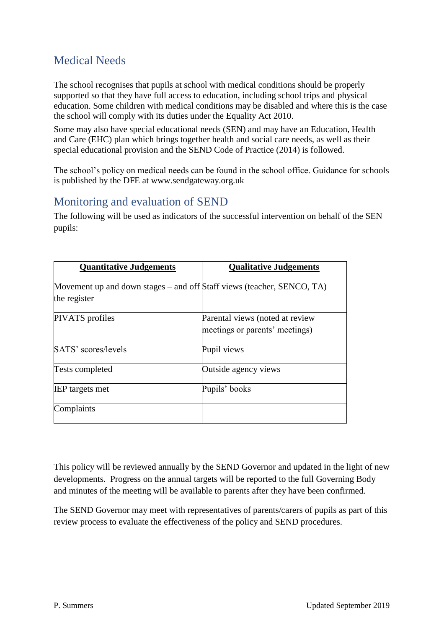# Medical Needs

The school recognises that pupils at school with medical conditions should be properly supported so that they have full access to education, including school trips and physical education. Some children with medical conditions may be disabled and where this is the case the school will comply with its duties under the Equality Act 2010.

Some may also have special educational needs (SEN) and may have an Education, Health and Care (EHC) plan which brings together health and social care needs, as well as their special educational provision and the SEND Code of Practice (2014) is followed.

The school's policy on medical needs can be found in the school office. Guidance for schools is published by the DFE at www.sendgateway.org.uk

# Monitoring and evaluation of SEND

The following will be used as indicators of the successful intervention on behalf of the SEN pupils:

| <b>Quantitative Judgements</b>                                                         | <b>Qualitative Judgements</b>                                     |
|----------------------------------------------------------------------------------------|-------------------------------------------------------------------|
| Movement up and down stages – and off Staff views (teacher, SENCO, TA)<br>the register |                                                                   |
| PIVATS profiles                                                                        | Parental views (noted at review<br>meetings or parents' meetings) |
| SATS' scores/levels                                                                    | Pupil views                                                       |
| <b>Tests completed</b>                                                                 | Outside agency views                                              |
| <b>IEP</b> targets met                                                                 | Pupils' books                                                     |
| Complaints                                                                             |                                                                   |

This policy will be reviewed annually by the SEND Governor and updated in the light of new developments. Progress on the annual targets will be reported to the full Governing Body and minutes of the meeting will be available to parents after they have been confirmed.

The SEND Governor may meet with representatives of parents/carers of pupils as part of this review process to evaluate the effectiveness of the policy and SEND procedures.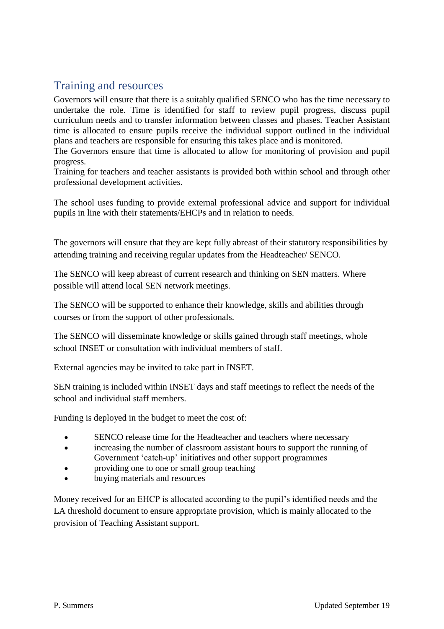# Training and resources

Governors will ensure that there is a suitably qualified SENCO who has the time necessary to undertake the role. Time is identified for staff to review pupil progress, discuss pupil curriculum needs and to transfer information between classes and phases. Teacher Assistant time is allocated to ensure pupils receive the individual support outlined in the individual plans and teachers are responsible for ensuring this takes place and is monitored.

The Governors ensure that time is allocated to allow for monitoring of provision and pupil progress.

Training for teachers and teacher assistants is provided both within school and through other professional development activities.

The school uses funding to provide external professional advice and support for individual pupils in line with their statements/EHCPs and in relation to needs.

The governors will ensure that they are kept fully abreast of their statutory responsibilities by attending training and receiving regular updates from the Headteacher/ SENCO.

The SENCO will keep abreast of current research and thinking on SEN matters. Where possible will attend local SEN network meetings.

The SENCO will be supported to enhance their knowledge, skills and abilities through courses or from the support of other professionals.

The SENCO will disseminate knowledge or skills gained through staff meetings, whole school INSET or consultation with individual members of staff.

External agencies may be invited to take part in INSET.

SEN training is included within INSET days and staff meetings to reflect the needs of the school and individual staff members.

Funding is deployed in the budget to meet the cost of:

- SENCO release time for the Headteacher and teachers where necessary
- increasing the number of classroom assistant hours to support the running of Government 'catch-up' initiatives and other support programmes
- providing one to one or small group teaching
- buying materials and resources

Money received for an EHCP is allocated according to the pupil's identified needs and the LA threshold document to ensure appropriate provision, which is mainly allocated to the provision of Teaching Assistant support.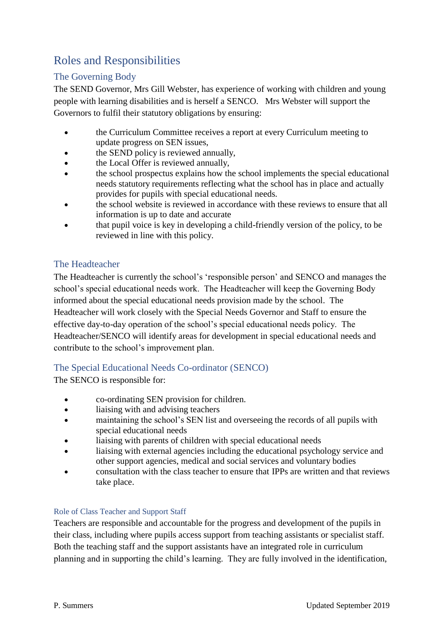# Roles and Responsibilities

#### The Governing Body

The SEND Governor, Mrs Gill Webster, has experience of working with children and young people with learning disabilities and is herself a SENCO. Mrs Webster will support the Governors to fulfil their statutory obligations by ensuring:

- the Curriculum Committee receives a report at every Curriculum meeting to update progress on SEN issues,
- the SEND policy is reviewed annually,
- the Local Offer is reviewed annually,
- the school prospectus explains how the school implements the special educational needs statutory requirements reflecting what the school has in place and actually provides for pupils with special educational needs.
- the school website is reviewed in accordance with these reviews to ensure that all information is up to date and accurate
- that pupil voice is key in developing a child-friendly version of the policy, to be reviewed in line with this policy.

#### The Headteacher

The Headteacher is currently the school's 'responsible person' and SENCO and manages the school's special educational needs work. The Headteacher will keep the Governing Body informed about the special educational needs provision made by the school. The Headteacher will work closely with the Special Needs Governor and Staff to ensure the effective day-to-day operation of the school's special educational needs policy. The Headteacher/SENCO will identify areas for development in special educational needs and contribute to the school's improvement plan.

#### The Special Educational Needs Co-ordinator (SENCO)

The SENCO is responsible for:

- co-ordinating SEN provision for children.
- liaising with and advising teachers
- maintaining the school's SEN list and overseeing the records of all pupils with special educational needs
- liaising with parents of children with special educational needs
- liaising with external agencies including the educational psychology service and other support agencies, medical and social services and voluntary bodies
- consultation with the class teacher to ensure that IPPs are written and that reviews take place.

#### Role of Class Teacher and Support Staff

Teachers are responsible and accountable for the progress and development of the pupils in their class, including where pupils access support from teaching assistants or specialist staff. Both the teaching staff and the support assistants have an integrated role in curriculum planning and in supporting the child's learning. They are fully involved in the identification,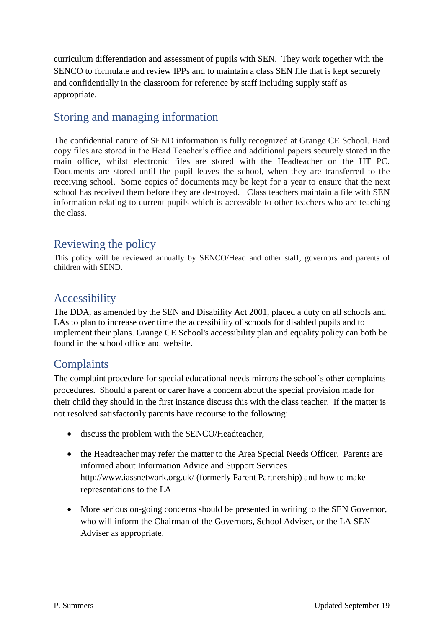curriculum differentiation and assessment of pupils with SEN. They work together with the SENCO to formulate and review IPPs and to maintain a class SEN file that is kept securely and confidentially in the classroom for reference by staff including supply staff as appropriate.

# Storing and managing information

The confidential nature of SEND information is fully recognized at Grange CE School. Hard copy files are stored in the Head Teacher's office and additional papers securely stored in the main office, whilst electronic files are stored with the Headteacher on the HT PC. Documents are stored until the pupil leaves the school, when they are transferred to the receiving school. Some copies of documents may be kept for a year to ensure that the next school has received them before they are destroyed. Class teachers maintain a file with SEN information relating to current pupils which is accessible to other teachers who are teaching the class.

# Reviewing the policy

This policy will be reviewed annually by SENCO/Head and other staff, governors and parents of children with SEND.

### Accessibility

The DDA, as amended by the SEN and Disability Act 2001, placed a duty on all schools and LAs to plan to increase over time the accessibility of schools for disabled pupils and to implement their plans. Grange CE School's accessibility plan and equality policy can both be found in the school office and website.

# **Complaints**

The complaint procedure for special educational needs mirrors the school's other complaints procedures. Should a parent or carer have a concern about the special provision made for their child they should in the first instance discuss this with the class teacher. If the matter is not resolved satisfactorily parents have recourse to the following:

- discuss the problem with the SENCO/Headteacher,
- the Headteacher may refer the matter to the Area Special Needs Officer. Parents are informed about Information Advice and Support Services http://www.iassnetwork.org.uk/ (formerly Parent Partnership) and how to make representations to the LA
- More serious on-going concerns should be presented in writing to the SEN Governor, who will inform the Chairman of the Governors, School Adviser, or the LA SEN Adviser as appropriate.